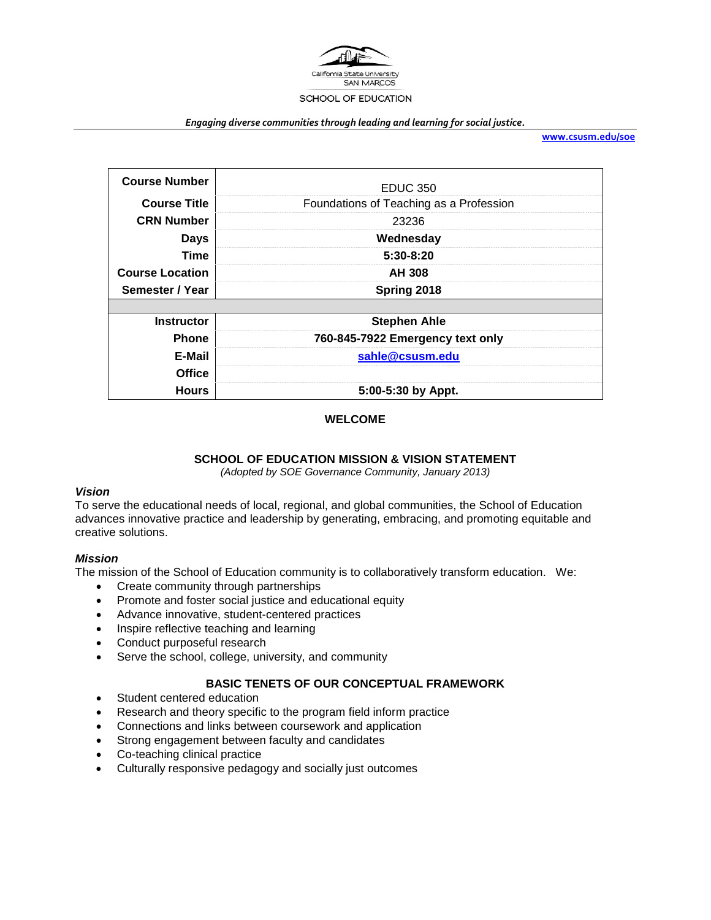

#### *Engaging diverse communities through leading and learning for social justice.*

**[www.csusm.edu/soe](http://www.csusm.edu/soe)**

| <b>Course Number</b>   | <b>EDUC 350</b>                         |
|------------------------|-----------------------------------------|
| <b>Course Title</b>    | Foundations of Teaching as a Profession |
| <b>CRN Number</b>      | 23236                                   |
| Days                   | Wednesday                               |
| Time                   | $5:30-8:20$                             |
| <b>Course Location</b> | <b>AH 308</b>                           |
| Semester / Year        | Spring 2018                             |
|                        |                                         |
| <b>Instructor</b>      | <b>Stephen Ahle</b>                     |
| <b>Phone</b>           | 760-845-7922 Emergency text only        |
| E-Mail                 | sahle@csusm.edu                         |
| <b>Office</b>          |                                         |
| <b>Hours</b>           | 5:00-5:30 by Appt.                      |

#### **WELCOME**

#### **SCHOOL OF EDUCATION MISSION & VISION STATEMENT**

*(Adopted by SOE Governance Community, January 2013)*

## *Vision*

To serve the educational needs of local, regional, and global communities, the School of Education advances innovative practice and leadership by generating, embracing, and promoting equitable and creative solutions.

#### *Mission*

The mission of the School of Education community is to collaboratively transform education. We:

- Create community through partnerships
- Promote and foster social justice and educational equity
- Advance innovative, student-centered practices
- Inspire reflective teaching and learning
- Conduct purposeful research
- Serve the school, college, university, and community

#### **BASIC TENETS OF OUR CONCEPTUAL FRAMEWORK**

- Student centered education
- Research and theory specific to the program field inform practice
- Connections and links between coursework and application
- Strong engagement between faculty and candidates
- Co-teaching clinical practice
- Culturally responsive pedagogy and socially just outcomes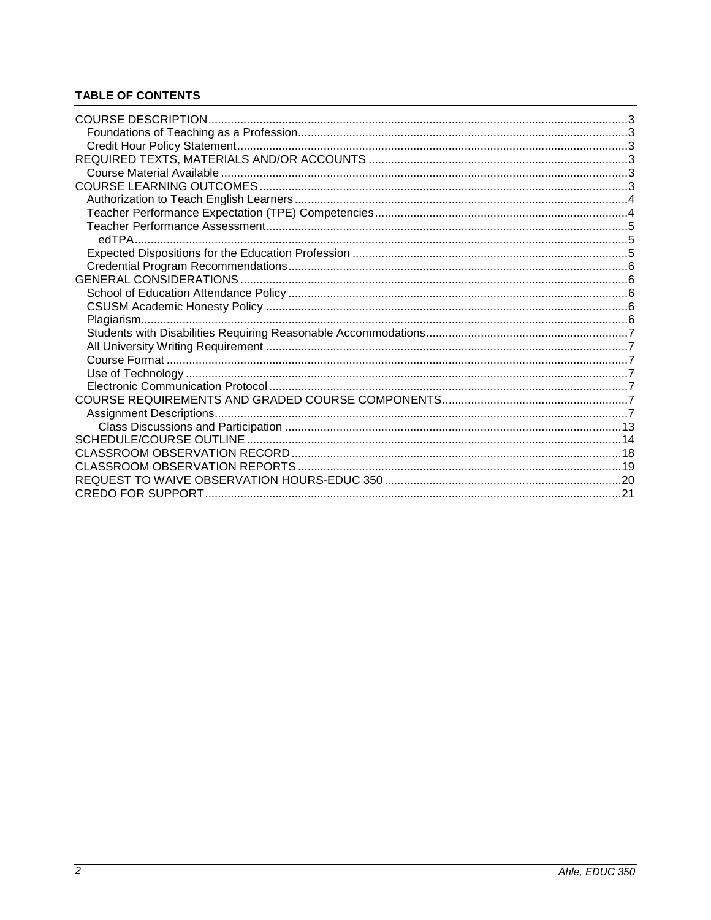# **TABLE OF CONTENTS**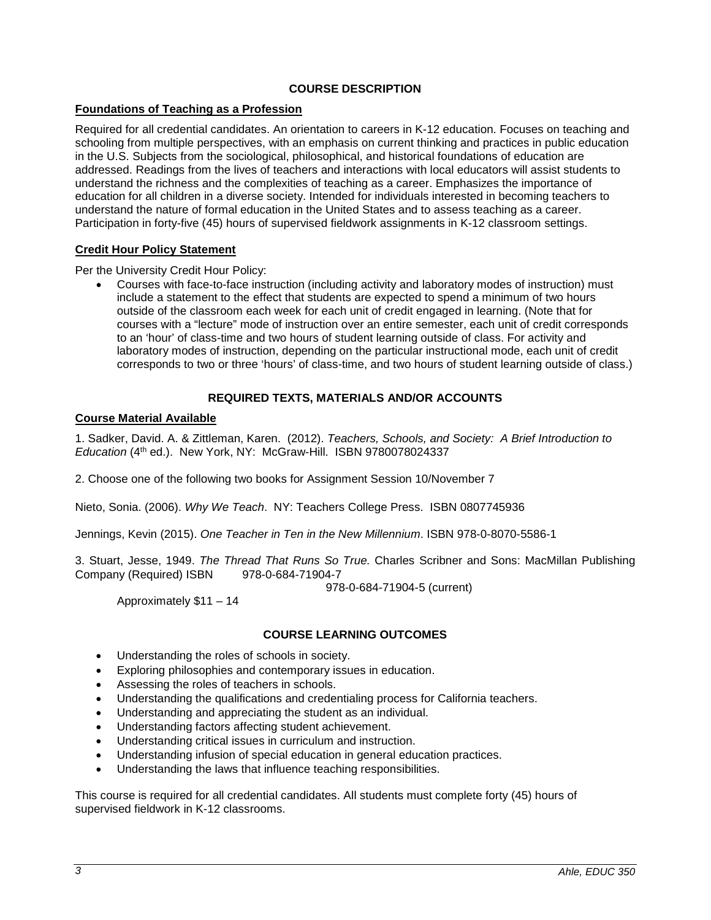# **COURSE DESCRIPTION**

# <span id="page-2-1"></span><span id="page-2-0"></span>**Foundations of Teaching as a Profession**

Required for all credential candidates. An orientation to careers in K-12 education. Focuses on teaching and schooling from multiple perspectives, with an emphasis on current thinking and practices in public education in the U.S. Subjects from the sociological, philosophical, and historical foundations of education are addressed. Readings from the lives of teachers and interactions with local educators will assist students to understand the richness and the complexities of teaching as a career. Emphasizes the importance of education for all children in a diverse society. Intended for individuals interested in becoming teachers to understand the nature of formal education in the United States and to assess teaching as a career. Participation in forty-five (45) hours of supervised fieldwork assignments in K-12 classroom settings.

#### <span id="page-2-2"></span>**Credit Hour Policy Statement**

Per the University Credit Hour Policy:

• Courses with face-to-face instruction (including activity and laboratory modes of instruction) must include a statement to the effect that students are expected to spend a minimum of two hours outside of the classroom each week for each unit of credit engaged in learning. (Note that for courses with a "lecture" mode of instruction over an entire semester, each unit of credit corresponds to an 'hour' of class-time and two hours of student learning outside of class. For activity and laboratory modes of instruction, depending on the particular instructional mode, each unit of credit corresponds to two or three 'hours' of class-time, and two hours of student learning outside of class.)

# **REQUIRED TEXTS, MATERIALS AND/OR ACCOUNTS**

#### <span id="page-2-4"></span><span id="page-2-3"></span>**Course Material Available**

1. Sadker, David. A. & Zittleman, Karen. (2012). *Teachers, Schools, and Society: A Brief Introduction to Education* (4th ed.). New York, NY: McGraw-Hill. ISBN 9780078024337

2. Choose one of the following two books for Assignment Session 10/November 7

Nieto, Sonia. (2006). *Why We Teach*. NY: Teachers College Press. ISBN 0807745936

Jennings, Kevin (2015). *One Teacher in Ten in the New Millennium*. ISBN 978-0-8070-5586-1

3. Stuart, Jesse, 1949. *The Thread That Runs So True.* Charles Scribner and Sons: MacMillan Publishing Company (Required) ISBN

978-0-684-71904-5 (current)

Approximately \$11 – 14

# **COURSE LEARNING OUTCOMES**

- <span id="page-2-5"></span>Understanding the roles of schools in society.
- Exploring philosophies and contemporary issues in education.
- Assessing the roles of teachers in schools.
- Understanding the qualifications and credentialing process for California teachers.
- Understanding and appreciating the student as an individual.
- Understanding factors affecting student achievement.
- Understanding critical issues in curriculum and instruction.
- Understanding infusion of special education in general education practices.
- Understanding the laws that influence teaching responsibilities.

This course is required for all credential candidates. All students must complete forty (45) hours of supervised fieldwork in K-12 classrooms.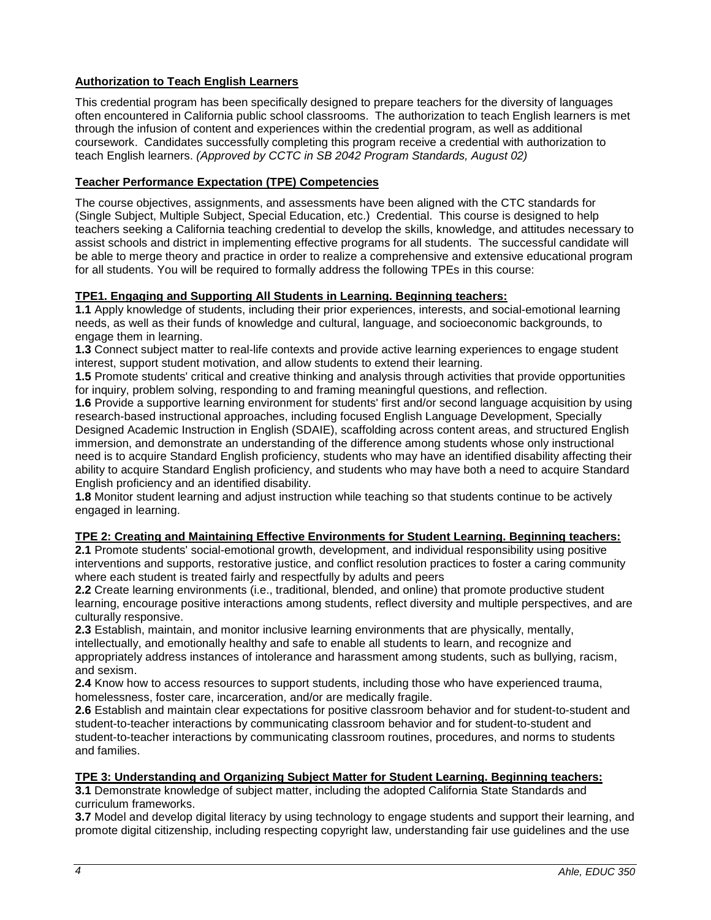# <span id="page-3-0"></span>**Authorization to Teach English Learners**

This credential program has been specifically designed to prepare teachers for the diversity of languages often encountered in California public school classrooms. The authorization to teach English learners is met through the infusion of content and experiences within the credential program, as well as additional coursework. Candidates successfully completing this program receive a credential with authorization to teach English learners. *(Approved by CCTC in SB 2042 Program Standards, August 02)*

# <span id="page-3-1"></span>**Teacher Performance Expectation (TPE) Competencies**

The course objectives, assignments, and assessments have been aligned with the CTC standards for (Single Subject, Multiple Subject, Special Education, etc.) Credential. This course is designed to help teachers seeking a California teaching credential to develop the skills, knowledge, and attitudes necessary to assist schools and district in implementing effective programs for all students. The successful candidate will be able to merge theory and practice in order to realize a comprehensive and extensive educational program for all students. You will be required to formally address the following TPEs in this course:

# **TPE1. Engaging and Supporting All Students in Learning. Beginning teachers:**

**1.1** Apply knowledge of students, including their prior experiences, interests, and social-emotional learning needs, as well as their funds of knowledge and cultural, language, and socioeconomic backgrounds, to engage them in learning.

**1.3** Connect subject matter to real-life contexts and provide active learning experiences to engage student interest, support student motivation, and allow students to extend their learning.

**1.5** Promote students' critical and creative thinking and analysis through activities that provide opportunities for inquiry, problem solving, responding to and framing meaningful questions, and reflection.

**1.6** Provide a supportive learning environment for students' first and/or second language acquisition by using research-based instructional approaches, including focused English Language Development, Specially Designed Academic Instruction in English (SDAIE), scaffolding across content areas, and structured English immersion, and demonstrate an understanding of the difference among students whose only instructional need is to acquire Standard English proficiency, students who may have an identified disability affecting their ability to acquire Standard English proficiency, and students who may have both a need to acquire Standard English proficiency and an identified disability.

**1.8** Monitor student learning and adjust instruction while teaching so that students continue to be actively engaged in learning.

# **TPE 2: Creating and Maintaining Effective Environments for Student Learning. Beginning teachers:**

**2.1** Promote students' social-emotional growth, development, and individual responsibility using positive interventions and supports, restorative justice, and conflict resolution practices to foster a caring community where each student is treated fairly and respectfully by adults and peers

**2.2** Create learning environments (i.e., traditional, blended, and online) that promote productive student learning, encourage positive interactions among students, reflect diversity and multiple perspectives, and are culturally responsive.

**2.3** Establish, maintain, and monitor inclusive learning environments that are physically, mentally, intellectually, and emotionally healthy and safe to enable all students to learn, and recognize and appropriately address instances of intolerance and harassment among students, such as bullying, racism, and sexism.

**2.4** Know how to access resources to support students, including those who have experienced trauma, homelessness, foster care, incarceration, and/or are medically fragile.

**2.6** Establish and maintain clear expectations for positive classroom behavior and for student-to-student and student-to-teacher interactions by communicating classroom behavior and for student-to-student and student-to-teacher interactions by communicating classroom routines, procedures, and norms to students and families.

# **TPE 3: Understanding and Organizing Subject Matter for Student Learning. Beginning teachers:**

**3.1** Demonstrate knowledge of subject matter, including the adopted California State Standards and curriculum frameworks.

**3.7** Model and develop digital literacy by using technology to engage students and support their learning, and promote digital citizenship, including respecting copyright law, understanding fair use guidelines and the use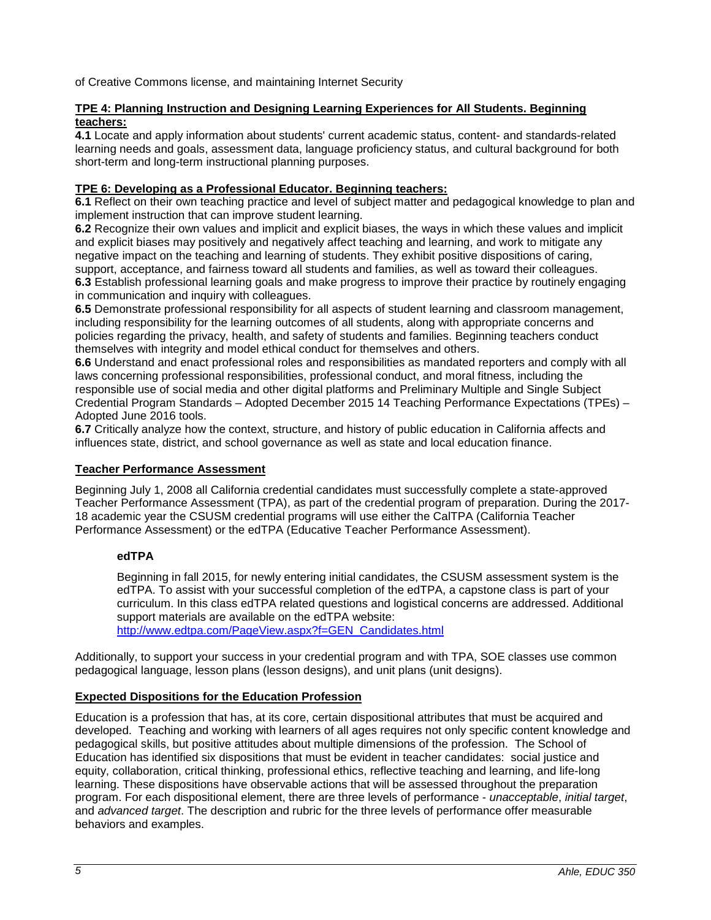of Creative Commons license, and maintaining Internet Security

#### **TPE 4: Planning Instruction and Designing Learning Experiences for All Students. Beginning teachers:**

**4.1** Locate and apply information about students' current academic status, content- and standards-related learning needs and goals, assessment data, language proficiency status, and cultural background for both short-term and long-term instructional planning purposes.

# **TPE 6: Developing as a Professional Educator. Beginning teachers:**

**6.1** Reflect on their own teaching practice and level of subject matter and pedagogical knowledge to plan and implement instruction that can improve student learning.

**6.2** Recognize their own values and implicit and explicit biases, the ways in which these values and implicit and explicit biases may positively and negatively affect teaching and learning, and work to mitigate any negative impact on the teaching and learning of students. They exhibit positive dispositions of caring, support, acceptance, and fairness toward all students and families, as well as toward their colleagues. **6.3** Establish professional learning goals and make progress to improve their practice by routinely engaging

in communication and inquiry with colleagues. **6.5** Demonstrate professional responsibility for all aspects of student learning and classroom management, including responsibility for the learning outcomes of all students, along with appropriate concerns and policies regarding the privacy, health, and safety of students and families. Beginning teachers conduct themselves with integrity and model ethical conduct for themselves and others.

**6.6** Understand and enact professional roles and responsibilities as mandated reporters and comply with all laws concerning professional responsibilities, professional conduct, and moral fitness, including the responsible use of social media and other digital platforms and Preliminary Multiple and Single Subject Credential Program Standards – Adopted December 2015 14 Teaching Performance Expectations (TPEs) – Adopted June 2016 tools.

**6.7** Critically analyze how the context, structure, and history of public education in California affects and influences state, district, and school governance as well as state and local education finance.

#### <span id="page-4-0"></span>**Teacher Performance Assessment**

Beginning July 1, 2008 all California credential candidates must successfully complete a state-approved Teacher Performance Assessment (TPA), as part of the credential program of preparation. During the 2017- 18 academic year the CSUSM credential programs will use either the CalTPA (California Teacher Performance Assessment) or the edTPA (Educative Teacher Performance Assessment).

# <span id="page-4-1"></span>**edTPA**

Beginning in fall 2015, for newly entering initial candidates, the CSUSM assessment system is the edTPA. To assist with your successful completion of the edTPA, a capstone class is part of your curriculum. In this class edTPA related questions and logistical concerns are addressed. Additional support materials are available on the edTPA website: [http://www.edtpa.com/PageView.aspx?f=GEN\\_Candidates.html](http://www.edtpa.com/PageView.aspx?f=GEN_Candidates.html)

Additionally, to support your success in your credential program and with TPA, SOE classes use common pedagogical language, lesson plans (lesson designs), and unit plans (unit designs).

# <span id="page-4-2"></span>**Expected Dispositions for the Education Profession**

Education is a profession that has, at its core, certain dispositional attributes that must be acquired and developed. Teaching and working with learners of all ages requires not only specific content knowledge and pedagogical skills, but positive attitudes about multiple dimensions of the profession. The School of Education has identified six dispositions that must be evident in teacher candidates: social justice and equity, collaboration, critical thinking, professional ethics, reflective teaching and learning, and life-long learning. These dispositions have observable actions that will be assessed throughout the preparation program. For each dispositional element, there are three levels of performance - *unacceptable*, *initial target*, and *advanced target*. The description and rubric for the three levels of performance offer measurable behaviors and examples.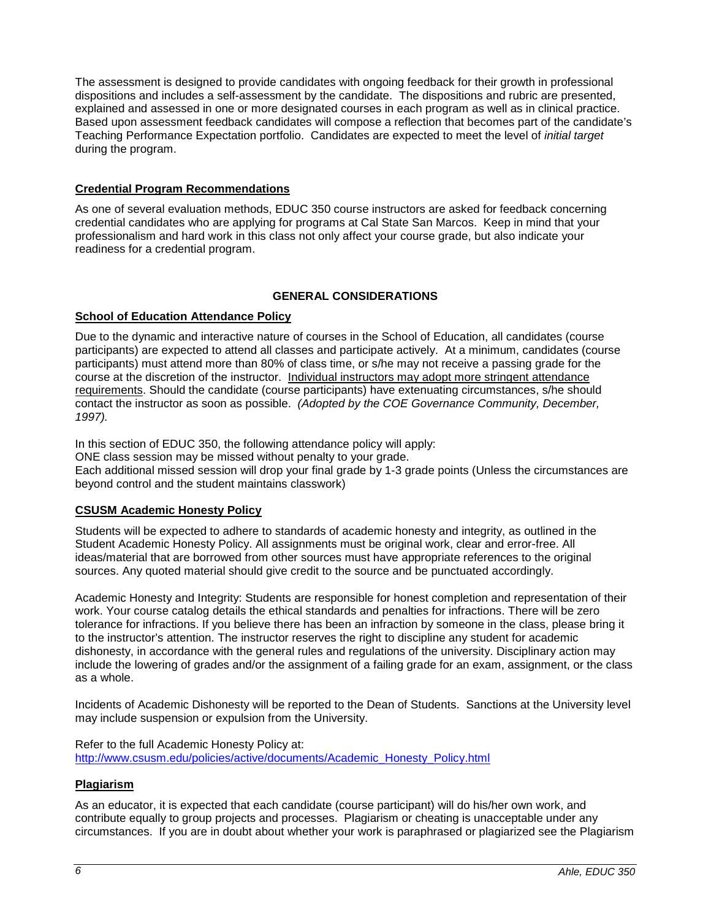The assessment is designed to provide candidates with ongoing feedback for their growth in professional dispositions and includes a self-assessment by the candidate. The dispositions and rubric are presented, explained and assessed in one or more designated courses in each program as well as in clinical practice. Based upon assessment feedback candidates will compose a reflection that becomes part of the candidate's Teaching Performance Expectation portfolio. Candidates are expected to meet the level of *initial target* during the program.

# <span id="page-5-0"></span>**Credential Program Recommendations**

As one of several evaluation methods, EDUC 350 course instructors are asked for feedback concerning credential candidates who are applying for programs at Cal State San Marcos. Keep in mind that your professionalism and hard work in this class not only affect your course grade, but also indicate your readiness for a credential program.

# **GENERAL CONSIDERATIONS**

# <span id="page-5-2"></span><span id="page-5-1"></span>**School of Education Attendance Policy**

Due to the dynamic and interactive nature of courses in the School of Education, all candidates (course participants) are expected to attend all classes and participate actively. At a minimum, candidates (course participants) must attend more than 80% of class time, or s/he may not receive a passing grade for the course at the discretion of the instructor. Individual instructors may adopt more stringent attendance requirements. Should the candidate (course participants) have extenuating circumstances, s/he should contact the instructor as soon as possible. *(Adopted by the COE Governance Community, December, 1997).*

In this section of EDUC 350, the following attendance policy will apply: ONE class session may be missed without penalty to your grade. Each additional missed session will drop your final grade by 1-3 grade points (Unless the circumstances are beyond control and the student maintains classwork)

# <span id="page-5-3"></span>**CSUSM Academic Honesty Policy**

Students will be expected to adhere to standards of academic honesty and integrity, as outlined in the Student Academic Honesty Policy. All assignments must be original work, clear and error-free. All ideas/material that are borrowed from other sources must have appropriate references to the original sources. Any quoted material should give credit to the source and be punctuated accordingly.

Academic Honesty and Integrity: Students are responsible for honest completion and representation of their work. Your course catalog details the ethical standards and penalties for infractions. There will be zero tolerance for infractions. If you believe there has been an infraction by someone in the class, please bring it to the instructor's attention. The instructor reserves the right to discipline any student for academic dishonesty, in accordance with the general rules and regulations of the university. Disciplinary action may include the lowering of grades and/or the assignment of a failing grade for an exam, assignment, or the class as a whole.

Incidents of Academic Dishonesty will be reported to the Dean of Students. Sanctions at the University level may include suspension or expulsion from the University.

Refer to the full Academic Honesty Policy at: [http://www.csusm.edu/policies/active/documents/Academic\\_Honesty\\_Policy.html](http://www.csusm.edu/policies/active/documents/Academic_Honesty_Policy.html)

# <span id="page-5-4"></span>**Plagiarism**

As an educator, it is expected that each candidate (course participant) will do his/her own work, and contribute equally to group projects and processes. Plagiarism or cheating is unacceptable under any circumstances. If you are in doubt about whether your work is paraphrased or plagiarized see the Plagiarism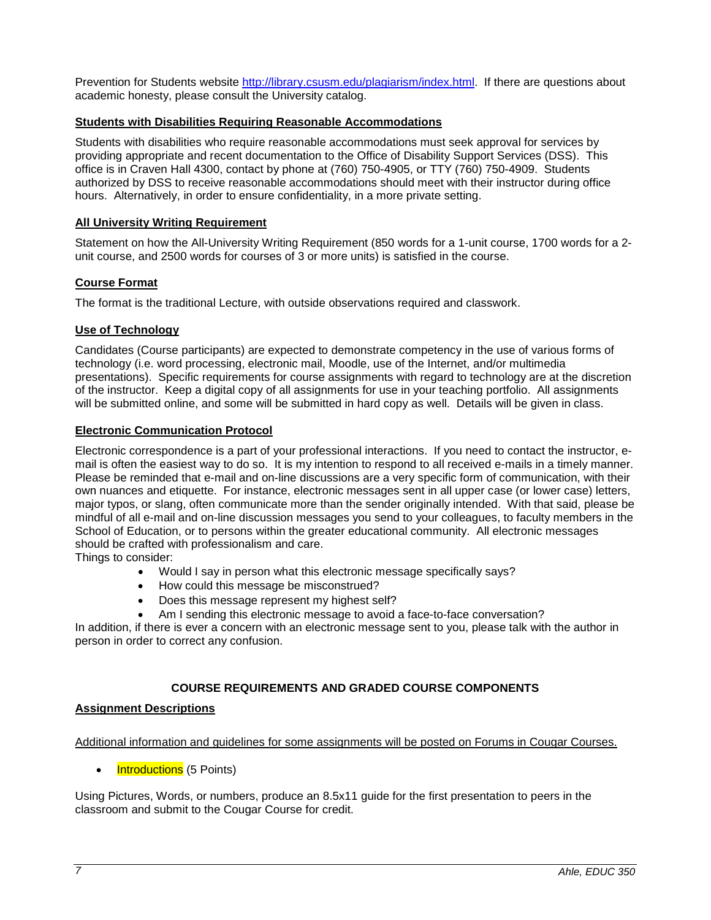Prevention for Students website [http://library.csusm.edu/plagiarism/index.html.](http://library.csusm.edu/plagiarism/index.html) If there are questions about academic honesty, please consult the University catalog.

#### <span id="page-6-0"></span>**Students with Disabilities Requiring Reasonable Accommodations**

Students with disabilities who require reasonable accommodations must seek approval for services by providing appropriate and recent documentation to the Office of Disability Support Services (DSS). This office is in Craven Hall 4300, contact by phone at (760) 750-4905, or TTY (760) 750-4909. Students authorized by DSS to receive reasonable accommodations should meet with their instructor during office hours. Alternatively, in order to ensure confidentiality, in a more private setting.

#### <span id="page-6-1"></span>**All University Writing Requirement**

Statement on how the All-University Writing Requirement (850 words for a 1-unit course, 1700 words for a 2 unit course, and 2500 words for courses of 3 or more units) is satisfied in the course.

#### <span id="page-6-2"></span>**Course Format**

The format is the traditional Lecture, with outside observations required and classwork.

# <span id="page-6-3"></span>**Use of Technology**

Candidates (Course participants) are expected to demonstrate competency in the use of various forms of technology (i.e. word processing, electronic mail, Moodle, use of the Internet, and/or multimedia presentations). Specific requirements for course assignments with regard to technology are at the discretion of the instructor. Keep a digital copy of all assignments for use in your teaching portfolio. All assignments will be submitted online, and some will be submitted in hard copy as well. Details will be given in class.

#### <span id="page-6-4"></span>**Electronic Communication Protocol**

Electronic correspondence is a part of your professional interactions. If you need to contact the instructor, email is often the easiest way to do so. It is my intention to respond to all received e-mails in a timely manner. Please be reminded that e-mail and on-line discussions are a very specific form of communication, with their own nuances and etiquette. For instance, electronic messages sent in all upper case (or lower case) letters, major typos, or slang, often communicate more than the sender originally intended. With that said, please be mindful of all e-mail and on-line discussion messages you send to your colleagues, to faculty members in the School of Education, or to persons within the greater educational community. All electronic messages should be crafted with professionalism and care.

Things to consider:

- Would I say in person what this electronic message specifically says?
- How could this message be misconstrued?
- Does this message represent my highest self?
- Am I sending this electronic message to avoid a face-to-face conversation?

In addition, if there is ever a concern with an electronic message sent to you, please talk with the author in person in order to correct any confusion.

# **COURSE REQUIREMENTS AND GRADED COURSE COMPONENTS**

#### <span id="page-6-6"></span><span id="page-6-5"></span>**Assignment Descriptions**

#### Additional information and guidelines for some assignments will be posted on Forums in Cougar Courses.

Introductions (5 Points)

Using Pictures, Words, or numbers, produce an 8.5x11 guide for the first presentation to peers in the classroom and submit to the Cougar Course for credit.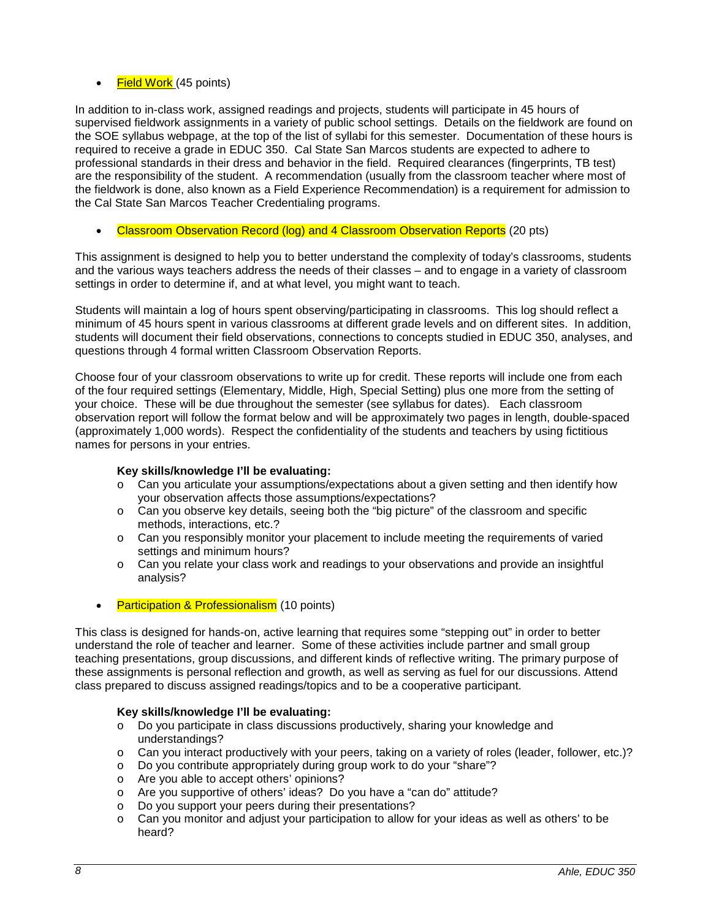# $\bullet$  Field Work (45 points)

In addition to in-class work, assigned readings and projects, students will participate in 45 hours of supervised fieldwork assignments in a variety of public school settings. Details on the fieldwork are found on the SOE syllabus webpage, at the top of the list of syllabi for this semester. Documentation of these hours is required to receive a grade in EDUC 350. Cal State San Marcos students are expected to adhere to professional standards in their dress and behavior in the field. Required clearances (fingerprints, TB test) are the responsibility of the student. A recommendation (usually from the classroom teacher where most of the fieldwork is done, also known as a Field Experience Recommendation) is a requirement for admission to the Cal State San Marcos Teacher Credentialing programs.

Classroom Observation Record (log) and 4 Classroom Observation Reports (20 pts)

This assignment is designed to help you to better understand the complexity of today's classrooms, students and the various ways teachers address the needs of their classes – and to engage in a variety of classroom settings in order to determine if, and at what level, you might want to teach.

Students will maintain a log of hours spent observing/participating in classrooms. This log should reflect a minimum of 45 hours spent in various classrooms at different grade levels and on different sites. In addition, students will document their field observations, connections to concepts studied in EDUC 350, analyses, and questions through 4 formal written Classroom Observation Reports.

Choose four of your classroom observations to write up for credit. These reports will include one from each of the four required settings (Elementary, Middle, High, Special Setting) plus one more from the setting of your choice. These will be due throughout the semester (see syllabus for dates). Each classroom observation report will follow the format below and will be approximately two pages in length, double-spaced (approximately 1,000 words). Respect the confidentiality of the students and teachers by using fictitious names for persons in your entries.

# **Key skills/knowledge I'll be evaluating:**

- o Can you articulate your assumptions/expectations about a given setting and then identify how your observation affects those assumptions/expectations?
- o Can you observe key details, seeing both the "big picture" of the classroom and specific methods, interactions, etc.?
- o Can you responsibly monitor your placement to include meeting the requirements of varied settings and minimum hours?
- o Can you relate your class work and readings to your observations and provide an insightful analysis?
- **Participation & Professionalism** (10 points)

This class is designed for hands-on, active learning that requires some "stepping out" in order to better understand the role of teacher and learner. Some of these activities include partner and small group teaching presentations, group discussions, and different kinds of reflective writing. The primary purpose of these assignments is personal reflection and growth, as well as serving as fuel for our discussions. Attend class prepared to discuss assigned readings/topics and to be a cooperative participant.

#### **Key skills/knowledge I'll be evaluating:**

- o Do you participate in class discussions productively, sharing your knowledge and understandings?
- o Can you interact productively with your peers, taking on a variety of roles (leader, follower, etc.)?
- o Do you contribute appropriately during group work to do your "share"?
- o Are you able to accept others' opinions?
- o Are you supportive of others' ideas? Do you have a "can do" attitude?
- Do you support your peers during their presentations?
- $\circ$  Can you monitor and adjust your participation to allow for your ideas as well as others' to be heard?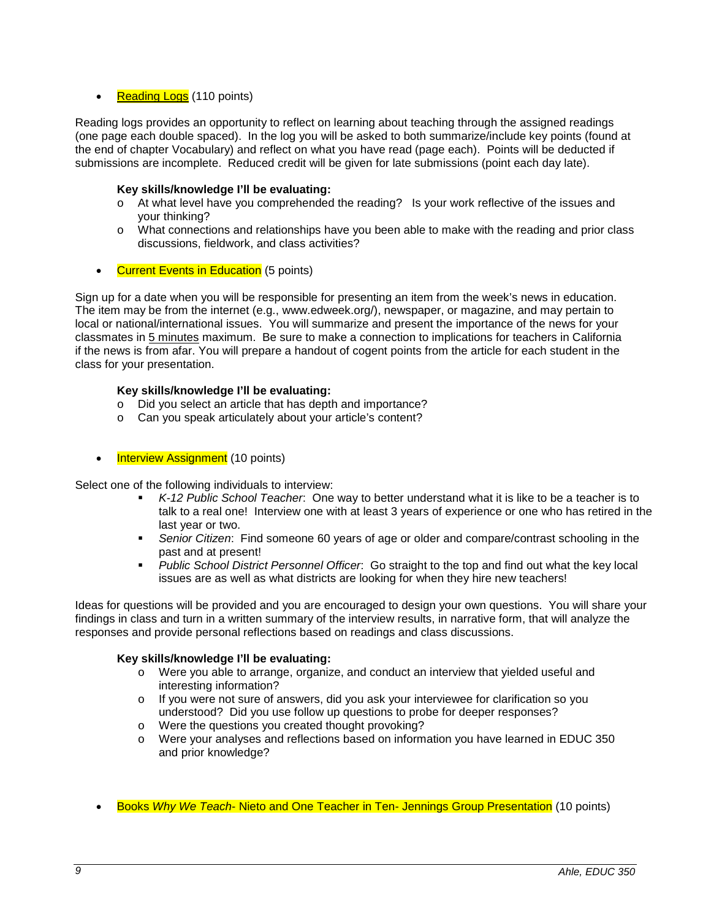## **Reading Logs** (110 points)

Reading logs provides an opportunity to reflect on learning about teaching through the assigned readings (one page each double spaced). In the log you will be asked to both summarize/include key points (found at the end of chapter Vocabulary) and reflect on what you have read (page each). Points will be deducted if submissions are incomplete. Reduced credit will be given for late submissions (point each day late).

## **Key skills/knowledge I'll be evaluating:**

- o At what level have you comprehended the reading? Is your work reflective of the issues and your thinking?
- o What connections and relationships have you been able to make with the reading and prior class discussions, fieldwork, and class activities?
- **Current Events in Education** (5 points)

Sign up for a date when you will be responsible for presenting an item from the week's news in education. The item may be from the internet (e.g., www.edweek.org/), newspaper, or magazine, and may pertain to local or national/international issues. You will summarize and present the importance of the news for your classmates in 5 minutes maximum. Be sure to make a connection to implications for teachers in California if the news is from afar. You will prepare a handout of cogent points from the article for each student in the class for your presentation.

#### **Key skills/knowledge I'll be evaluating:**

- o Did you select an article that has depth and importance?
- o Can you speak articulately about your article's content?
- Interview Assignment (10 points)

Select one of the following individuals to interview:

- *K-12 Public School Teacher*: One way to better understand what it is like to be a teacher is to talk to a real one! Interview one with at least 3 years of experience or one who has retired in the last year or two.
- *Senior Citizen*: Find someone 60 years of age or older and compare/contrast schooling in the past and at present!
- *Public School District Personnel Officer*: Go straight to the top and find out what the key local issues are as well as what districts are looking for when they hire new teachers!

Ideas for questions will be provided and you are encouraged to design your own questions. You will share your findings in class and turn in a written summary of the interview results, in narrative form, that will analyze the responses and provide personal reflections based on readings and class discussions.

# **Key skills/knowledge I'll be evaluating:**

- o Were you able to arrange, organize, and conduct an interview that yielded useful and interesting information?
- o If you were not sure of answers, did you ask your interviewee for clarification so you understood? Did you use follow up questions to probe for deeper responses?
- o Were the questions you created thought provoking?
- o Were your analyses and reflections based on information you have learned in EDUC 350 and prior knowledge?
- Books *Why We Teach* Nieto and One Teacher in Ten- Jennings Group Presentation (10 points)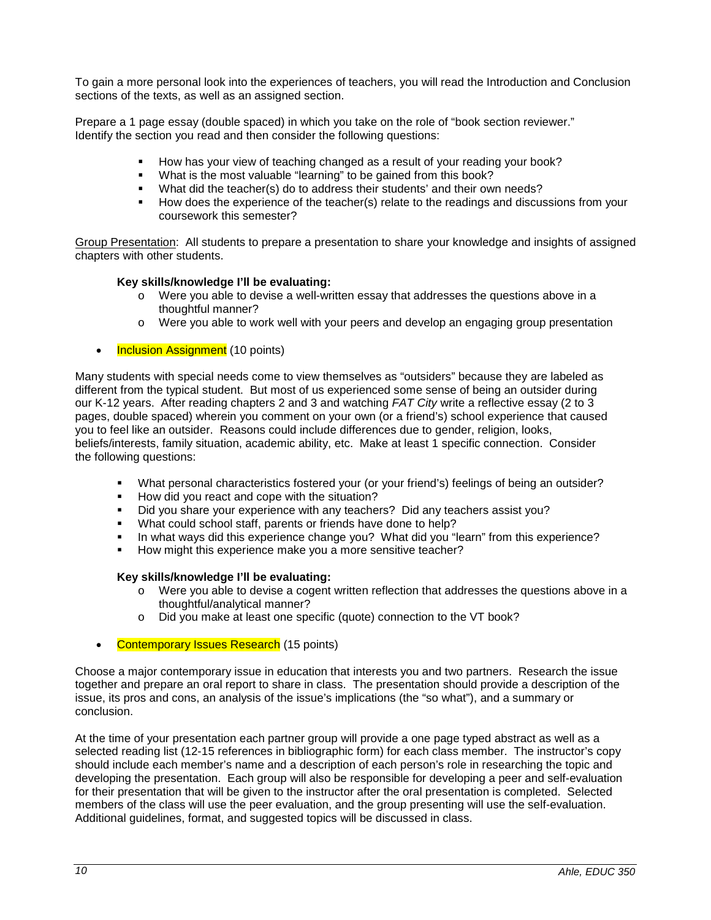To gain a more personal look into the experiences of teachers, you will read the Introduction and Conclusion sections of the texts, as well as an assigned section.

Prepare a 1 page essay (double spaced) in which you take on the role of "book section reviewer." Identify the section you read and then consider the following questions:

- How has your view of teaching changed as a result of your reading your book?
- What is the most valuable "learning" to be gained from this book?
- What did the teacher(s) do to address their students' and their own needs?
- How does the experience of the teacher(s) relate to the readings and discussions from your coursework this semester?

Group Presentation: All students to prepare a presentation to share your knowledge and insights of assigned chapters with other students.

#### **Key skills/knowledge I'll be evaluating:**

- o Were you able to devise a well-written essay that addresses the questions above in a thoughtful manner?
- o Were you able to work well with your peers and develop an engaging group presentation
- Inclusion Assignment (10 points)

Many students with special needs come to view themselves as "outsiders" because they are labeled as different from the typical student. But most of us experienced some sense of being an outsider during our K-12 years. After reading chapters 2 and 3 and watching *FAT City* write a reflective essay (2 to 3 pages, double spaced) wherein you comment on your own (or a friend's) school experience that caused you to feel like an outsider. Reasons could include differences due to gender, religion, looks, beliefs/interests, family situation, academic ability, etc. Make at least 1 specific connection. Consider the following questions:

- What personal characteristics fostered your (or your friend's) feelings of being an outsider?
- How did you react and cope with the situation?
- Did you share your experience with any teachers? Did any teachers assist you?
- What could school staff, parents or friends have done to help?
- In what ways did this experience change you? What did you "learn" from this experience?
- How might this experience make you a more sensitive teacher?

#### **Key skills/knowledge I'll be evaluating:**

- o Were you able to devise a cogent written reflection that addresses the questions above in a thoughtful/analytical manner?
- o Did you make at least one specific (quote) connection to the VT book?
- Contemporary Issues Research (15 points)

Choose a major contemporary issue in education that interests you and two partners. Research the issue together and prepare an oral report to share in class. The presentation should provide a description of the issue, its pros and cons, an analysis of the issue's implications (the "so what"), and a summary or conclusion.

At the time of your presentation each partner group will provide a one page typed abstract as well as a selected reading list (12-15 references in bibliographic form) for each class member. The instructor's copy should include each member's name and a description of each person's role in researching the topic and developing the presentation. Each group will also be responsible for developing a peer and self-evaluation for their presentation that will be given to the instructor after the oral presentation is completed. Selected members of the class will use the peer evaluation, and the group presenting will use the self-evaluation. Additional guidelines, format, and suggested topics will be discussed in class.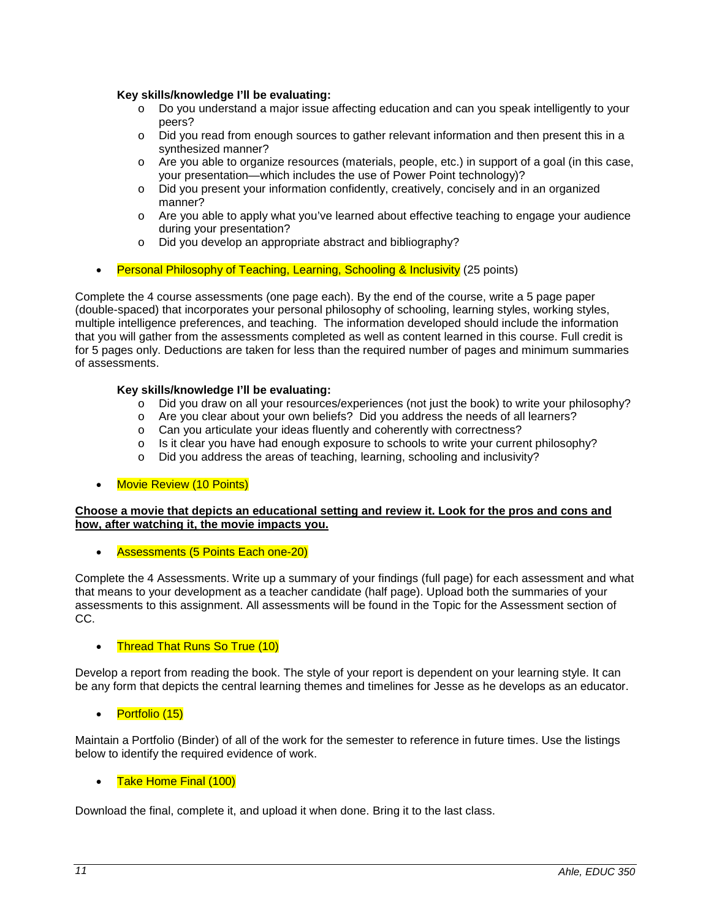#### **Key skills/knowledge I'll be evaluating:**

- o Do you understand a major issue affecting education and can you speak intelligently to your peers?
- o Did you read from enough sources to gather relevant information and then present this in a synthesized manner?
- o Are you able to organize resources (materials, people, etc.) in support of a goal (in this case, your presentation—which includes the use of Power Point technology)?
- o Did you present your information confidently, creatively, concisely and in an organized manner?
- $\circ$  Are you able to apply what you've learned about effective teaching to engage your audience during your presentation?
- o Did you develop an appropriate abstract and bibliography?
- **Personal Philosophy of Teaching, Learning, Schooling & Inclusivity (25 points)**

Complete the 4 course assessments (one page each). By the end of the course, write a 5 page paper (double-spaced) that incorporates your personal philosophy of schooling, learning styles, working styles, multiple intelligence preferences, and teaching. The information developed should include the information that you will gather from the assessments completed as well as content learned in this course. Full credit is for 5 pages only. Deductions are taken for less than the required number of pages and minimum summaries of assessments.

#### **Key skills/knowledge I'll be evaluating:**

- o Did you draw on all your resources/experiences (not just the book) to write your philosophy?
- o Are you clear about your own beliefs? Did you address the needs of all learners?
- o Can you articulate your ideas fluently and coherently with correctness?
- o Is it clear you have had enough exposure to schools to write your current philosophy?
- o Did you address the areas of teaching, learning, schooling and inclusivity?
- **Movie Review (10 Points)**

## **Choose a movie that depicts an educational setting and review it. Look for the pros and cons and how, after watching it, the movie impacts you.**

• Assessments (5 Points Each one-20)

Complete the 4 Assessments. Write up a summary of your findings (full page) for each assessment and what that means to your development as a teacher candidate (half page). Upload both the summaries of your assessments to this assignment. All assessments will be found in the Topic for the Assessment section of CC.

#### • Thread That Runs So True (10)

Develop a report from reading the book. The style of your report is dependent on your learning style. It can be any form that depicts the central learning themes and timelines for Jesse as he develops as an educator.

Portfolio (15)

Maintain a Portfolio (Binder) of all of the work for the semester to reference in future times. Use the listings below to identify the required evidence of work.

#### Take Home Final (100)

Download the final, complete it, and upload it when done. Bring it to the last class.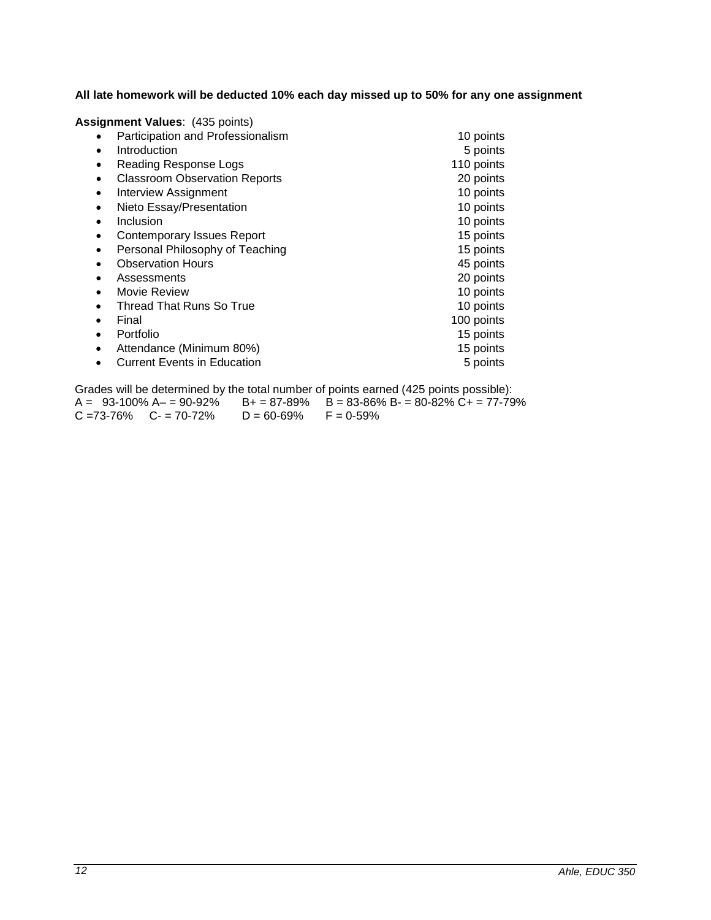**All late homework will be deducted 10% each day missed up to 50% for any one assignment**

| Assignment Values: (435 points)                   |            |
|---------------------------------------------------|------------|
| Participation and Professionalism                 | 10 points  |
| Introduction<br>$\bullet$                         | 5 points   |
| Reading Response Logs<br>٠                        | 110 points |
| <b>Classroom Observation Reports</b><br>$\bullet$ | 20 points  |
| <b>Interview Assignment</b><br>$\bullet$          | 10 points  |
| Nieto Essay/Presentation<br>$\bullet$             | 10 points  |
| Inclusion<br>$\bullet$                            | 10 points  |
| <b>Contemporary Issues Report</b><br>$\bullet$    | 15 points  |
| Personal Philosophy of Teaching                   | 15 points  |
| <b>Observation Hours</b>                          | 45 points  |
| Assessments                                       | 20 points  |
| Movie Review<br>$\bullet$                         | 10 points  |
| Thread That Runs So True<br>$\bullet$             | 10 points  |
| Final<br>$\bullet$                                | 100 points |
| Portfolio<br>$\bullet$                            | 15 points  |
| Attendance (Minimum 80%)<br>$\bullet$             | 15 points  |
| <b>Current Events in Education</b>                | 5 points   |

Grades will be determined by the total number of points earned (425 points possible):<br> $A = 93-100\% A - 90-92\% B + 87-89\% B = 83-86\% B - 80-82\% C + 77-79$ B+ = 87-89% B = 83-86% B- = 80-82% C+ = 77-79%<br>D = 60-69% F = 0-59%  $C = 73-76\%$   $C = 70-72\%$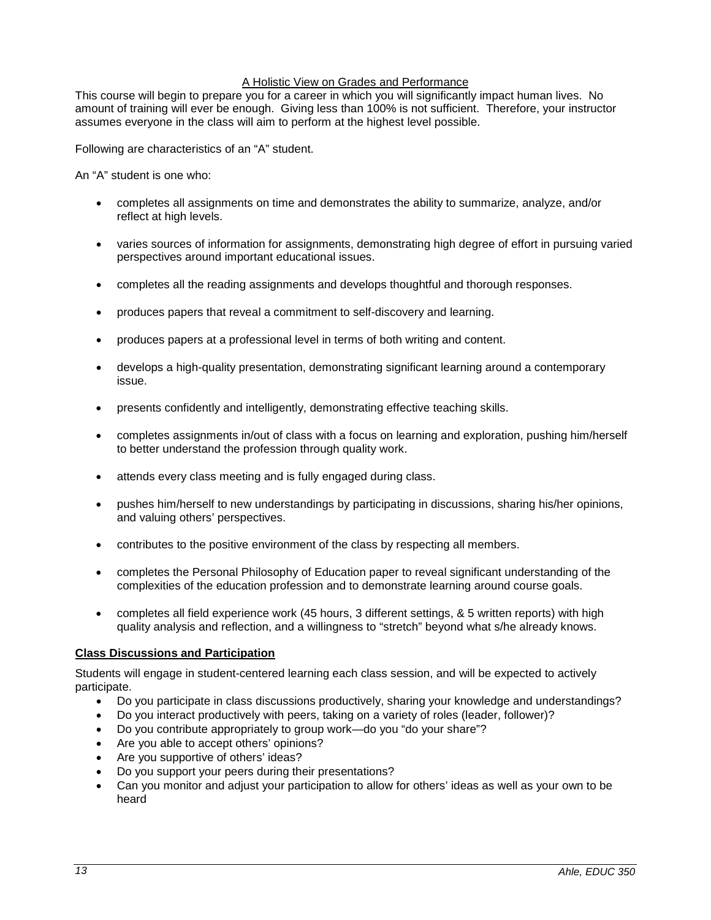#### A Holistic View on Grades and Performance

This course will begin to prepare you for a career in which you will significantly impact human lives. No amount of training will ever be enough. Giving less than 100% is not sufficient. Therefore, your instructor assumes everyone in the class will aim to perform at the highest level possible.

Following are characteristics of an "A" student.

An "A" student is one who:

- completes all assignments on time and demonstrates the ability to summarize, analyze, and/or reflect at high levels.
- varies sources of information for assignments, demonstrating high degree of effort in pursuing varied perspectives around important educational issues.
- completes all the reading assignments and develops thoughtful and thorough responses.
- produces papers that reveal a commitment to self-discovery and learning.
- produces papers at a professional level in terms of both writing and content.
- develops a high-quality presentation, demonstrating significant learning around a contemporary issue.
- presents confidently and intelligently, demonstrating effective teaching skills.
- completes assignments in/out of class with a focus on learning and exploration, pushing him/herself to better understand the profession through quality work.
- attends every class meeting and is fully engaged during class.
- pushes him/herself to new understandings by participating in discussions, sharing his/her opinions, and valuing others' perspectives.
- contributes to the positive environment of the class by respecting all members.
- completes the Personal Philosophy of Education paper to reveal significant understanding of the complexities of the education profession and to demonstrate learning around course goals.
- completes all field experience work (45 hours, 3 different settings, & 5 written reports) with high quality analysis and reflection, and a willingness to "stretch" beyond what s/he already knows.

#### <span id="page-12-0"></span>**Class Discussions and Participation**

Students will engage in student-centered learning each class session, and will be expected to actively participate.

- Do you participate in class discussions productively, sharing your knowledge and understandings?
- Do you interact productively with peers, taking on a variety of roles (leader, follower)?
- Do you contribute appropriately to group work—do you "do your share"?
- Are you able to accept others' opinions?
- Are you supportive of others' ideas?
- Do you support your peers during their presentations?
- Can you monitor and adjust your participation to allow for others' ideas as well as your own to be heard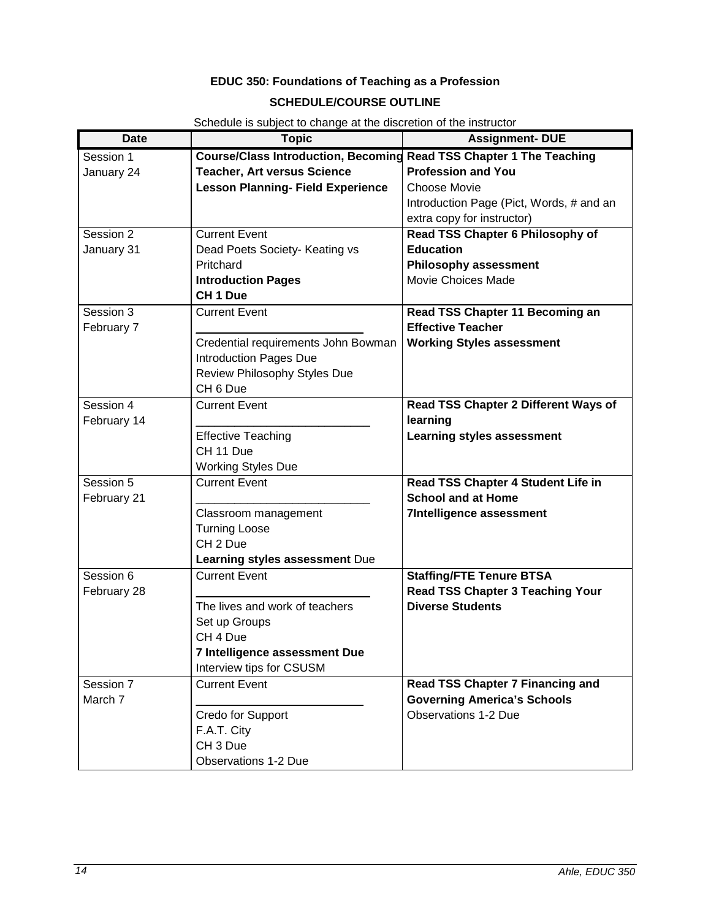# **EDUC 350: Foundations of Teaching as a Profession SCHEDULE/COURSE OUTLINE**

<span id="page-13-0"></span>

| <b>Date</b> | <b>Topic</b>                                                        | <b>Assignment- DUE</b>                   |  |
|-------------|---------------------------------------------------------------------|------------------------------------------|--|
| Session 1   | Course/Class Introduction, Becoming Read TSS Chapter 1 The Teaching |                                          |  |
| January 24  | <b>Teacher, Art versus Science</b>                                  | <b>Profession and You</b>                |  |
|             | <b>Lesson Planning- Field Experience</b>                            | <b>Choose Movie</b>                      |  |
|             |                                                                     | Introduction Page (Pict, Words, # and an |  |
|             |                                                                     | extra copy for instructor)               |  |
| Session 2   | <b>Current Event</b>                                                | Read TSS Chapter 6 Philosophy of         |  |
| January 31  | Dead Poets Society- Keating vs                                      | <b>Education</b>                         |  |
|             | Pritchard                                                           | Philosophy assessment                    |  |
|             | <b>Introduction Pages</b>                                           | Movie Choices Made                       |  |
|             | CH <sub>1</sub> Due                                                 |                                          |  |
| Session 3   | <b>Current Event</b>                                                | Read TSS Chapter 11 Becoming an          |  |
| February 7  |                                                                     | <b>Effective Teacher</b>                 |  |
|             | Credential requirements John Bowman                                 | <b>Working Styles assessment</b>         |  |
|             | <b>Introduction Pages Due</b>                                       |                                          |  |
|             | Review Philosophy Styles Due                                        |                                          |  |
|             | CH <sub>6</sub> Due                                                 |                                          |  |
| Session 4   | <b>Current Event</b>                                                | Read TSS Chapter 2 Different Ways of     |  |
| February 14 |                                                                     | learning                                 |  |
|             | <b>Effective Teaching</b>                                           | <b>Learning styles assessment</b>        |  |
|             | CH 11 Due                                                           |                                          |  |
|             | <b>Working Styles Due</b>                                           |                                          |  |
| Session 5   | <b>Current Event</b>                                                | Read TSS Chapter 4 Student Life in       |  |
| February 21 |                                                                     | <b>School and at Home</b>                |  |
|             | Classroom management                                                | <b>7Intelligence assessment</b>          |  |
|             | <b>Turning Loose</b>                                                |                                          |  |
|             | CH <sub>2</sub> Due                                                 |                                          |  |
|             | Learning styles assessment Due                                      |                                          |  |
| Session 6   | <b>Current Event</b>                                                | <b>Staffing/FTE Tenure BTSA</b>          |  |
| February 28 |                                                                     | <b>Read TSS Chapter 3 Teaching Your</b>  |  |
|             | The lives and work of teachers                                      | <b>Diverse Students</b>                  |  |
|             | Set up Groups                                                       |                                          |  |
|             | CH 4 Due                                                            |                                          |  |
|             | 7 Intelligence assessment Due                                       |                                          |  |
|             | Interview tips for CSUSM                                            |                                          |  |
| Session 7   | <b>Current Event</b>                                                | Read TSS Chapter 7 Financing and         |  |
| March 7     |                                                                     | <b>Governing America's Schools</b>       |  |
|             | Credo for Support                                                   | <b>Observations 1-2 Due</b>              |  |
|             | F.A.T. City                                                         |                                          |  |
|             | CH <sub>3</sub> Due                                                 |                                          |  |
|             | <b>Observations 1-2 Due</b>                                         |                                          |  |

Schedule is subject to change at the discretion of the instructor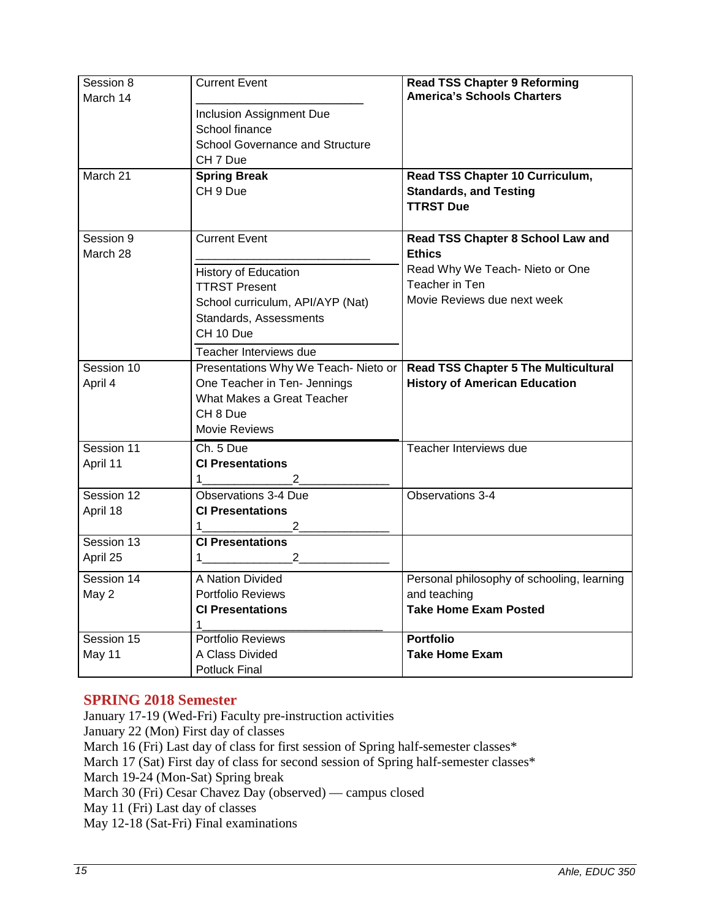| Session 8<br>March 14 | <b>Current Event</b>                                       | <b>Read TSS Chapter 9 Reforming</b><br><b>America's Schools Charters</b> |
|-----------------------|------------------------------------------------------------|--------------------------------------------------------------------------|
|                       | Inclusion Assignment Due                                   |                                                                          |
|                       | School finance                                             |                                                                          |
|                       | <b>School Governance and Structure</b>                     |                                                                          |
|                       | CH 7 Due                                                   |                                                                          |
| March 21              | <b>Spring Break</b>                                        | Read TSS Chapter 10 Curriculum,                                          |
|                       | CH 9 Due                                                   | <b>Standards, and Testing</b>                                            |
|                       |                                                            | <b>TTRST Due</b>                                                         |
|                       |                                                            |                                                                          |
| Session 9             | <b>Current Event</b>                                       | Read TSS Chapter 8 School Law and                                        |
| March 28              |                                                            | <b>Ethics</b>                                                            |
|                       | History of Education                                       | Read Why We Teach- Nieto or One                                          |
|                       | <b>TTRST Present</b>                                       | Teacher in Ten                                                           |
|                       | School curriculum, API/AYP (Nat)                           | Movie Reviews due next week                                              |
|                       | Standards, Assessments                                     |                                                                          |
|                       | CH 10 Due                                                  |                                                                          |
|                       | Teacher Interviews due                                     |                                                                          |
| Session 10            |                                                            | <b>Read TSS Chapter 5 The Multicultural</b>                              |
|                       | Presentations Why We Teach- Nieto or                       |                                                                          |
| April 4               | One Teacher in Ten- Jennings<br>What Makes a Great Teacher | <b>History of American Education</b>                                     |
|                       |                                                            |                                                                          |
|                       | CH <sub>8</sub> Due                                        |                                                                          |
|                       | Movie Reviews                                              |                                                                          |
| Session 11            | Ch. 5 Due                                                  | Teacher Interviews due                                                   |
| April 11              | <b>CI Presentations</b>                                    |                                                                          |
|                       | 1.<br>2                                                    |                                                                          |
| Session 12            | <b>Observations 3-4 Due</b>                                | Observations 3-4                                                         |
| April 18              | <b>CI Presentations</b>                                    |                                                                          |
|                       | 2<br>1.                                                    |                                                                          |
| Session 13            | <b>CI Presentations</b>                                    |                                                                          |
| April 25              | $\overline{2}$<br>1.                                       |                                                                          |
| Session 14            | A Nation Divided                                           | Personal philosophy of schooling, learning                               |
| May 2                 | Portfolio Reviews                                          | and teaching                                                             |
|                       | <b>CI Presentations</b>                                    | <b>Take Home Exam Posted</b>                                             |
|                       | 1                                                          |                                                                          |
| Session 15            | Portfolio Reviews                                          | <b>Portfolio</b>                                                         |
| May 11                | A Class Divided                                            | <b>Take Home Exam</b>                                                    |
|                       | <b>Potluck Final</b>                                       |                                                                          |

# **SPRING 2018 Semester**

January 17-19 (Wed-Fri) Faculty pre-instruction activities January 22 (Mon) First day of classes March 16 (Fri) Last day of class for first session of Spring half-semester classes\* March 17 (Sat) First day of class for second session of Spring half-semester classes\* March 19-24 (Mon-Sat) Spring break March 30 (Fri) Cesar Chavez Day (observed) — campus closed May 11 (Fri) Last day of classes May 12-18 (Sat-Fri) Final examinations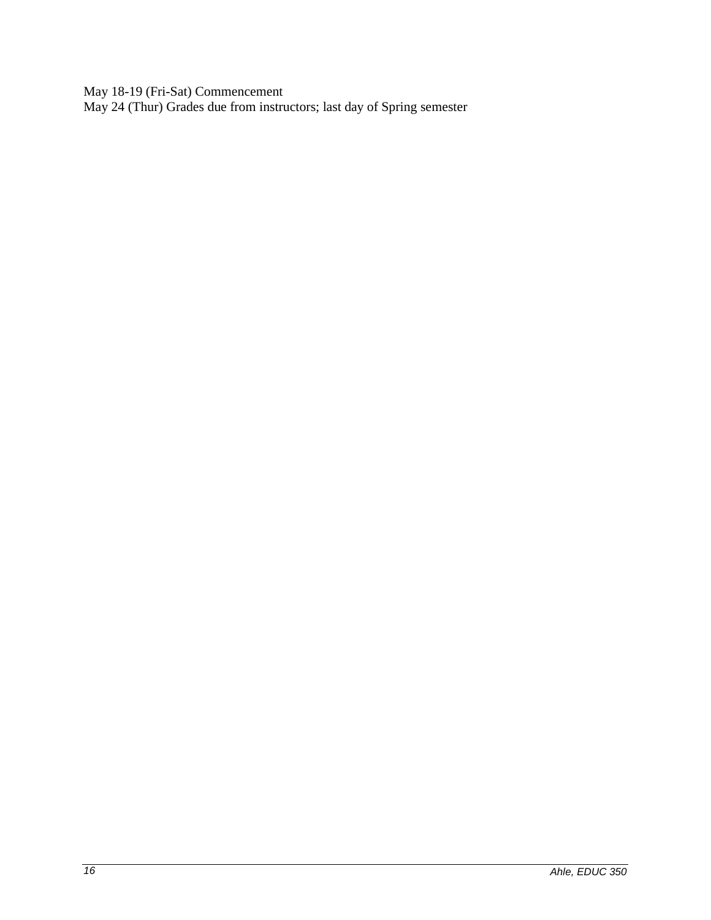May 18-19 (Fri-Sat) Commencement

May 24 (Thur) Grades due from instructors; last day of Spring semester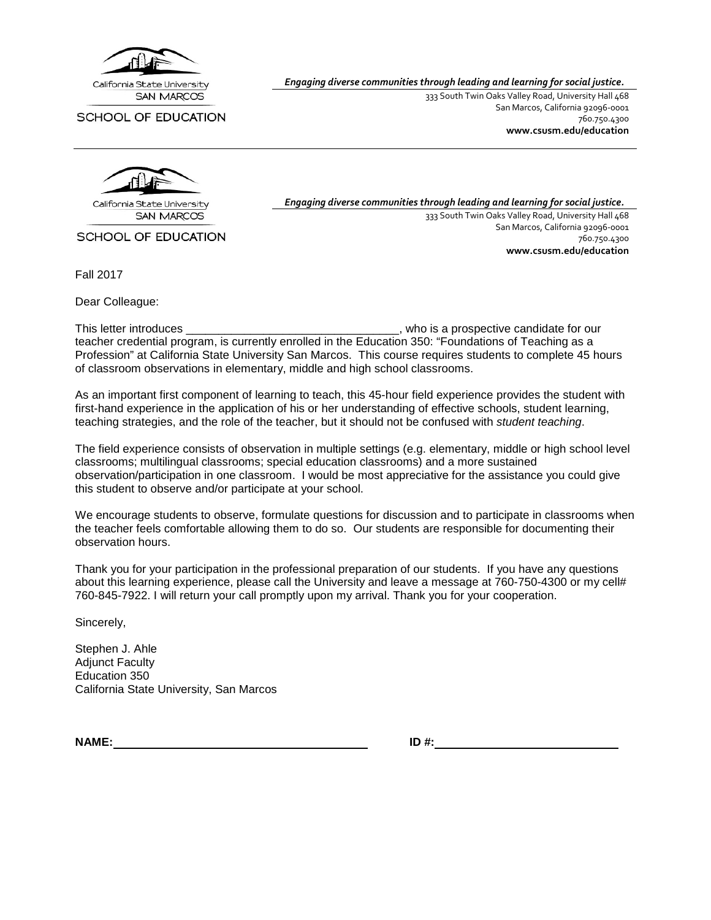

SCHOOL OF EDUCATION

*Engaging diverse communities through leading and learning for social justice.*

333 South Twin Oaks Valley Road, University Hall 468 San Marcos, California 92096-0001 760.750.4300 **[www.csusm.edu/education](http://www.csusm.edu/education)**



**SAN MARCOS** 

SCHOOL OF EDUCATION

Fall 2017

Dear Colleague:

*Engaging diverse communities through leading and learning for social justice.* 333 South Twin Oaks Valley Road, University Hall 468 San Marcos, California 92096-0001 760.750.4300 **[www.csusm.edu/education](http://www.csusm.edu/education)**

This letter introduces \_\_\_\_\_\_\_\_\_\_\_\_\_\_\_\_\_\_\_\_\_\_\_\_\_\_\_\_\_\_\_\_\_, who is a prospective candidate for our teacher credential program, is currently enrolled in the Education 350: "Foundations of Teaching as a Profession" at California State University San Marcos. This course requires students to complete 45 hours of classroom observations in elementary, middle and high school classrooms.

As an important first component of learning to teach, this 45-hour field experience provides the student with first-hand experience in the application of his or her understanding of effective schools, student learning, teaching strategies, and the role of the teacher, but it should not be confused with *student teaching*.

The field experience consists of observation in multiple settings (e.g. elementary, middle or high school level classrooms; multilingual classrooms; special education classrooms) and a more sustained observation/participation in one classroom. I would be most appreciative for the assistance you could give this student to observe and/or participate at your school.

We encourage students to observe, formulate questions for discussion and to participate in classrooms when the teacher feels comfortable allowing them to do so. Our students are responsible for documenting their observation hours.

Thank you for your participation in the professional preparation of our students. If you have any questions about this learning experience, please call the University and leave a message at 760-750-4300 or my cell# 760-845-7922. I will return your call promptly upon my arrival. Thank you for your cooperation.

Sincerely,

Stephen J. Ahle **Adiunct Faculty** Education 350 California State University, San Marcos

**NAME: ID #:**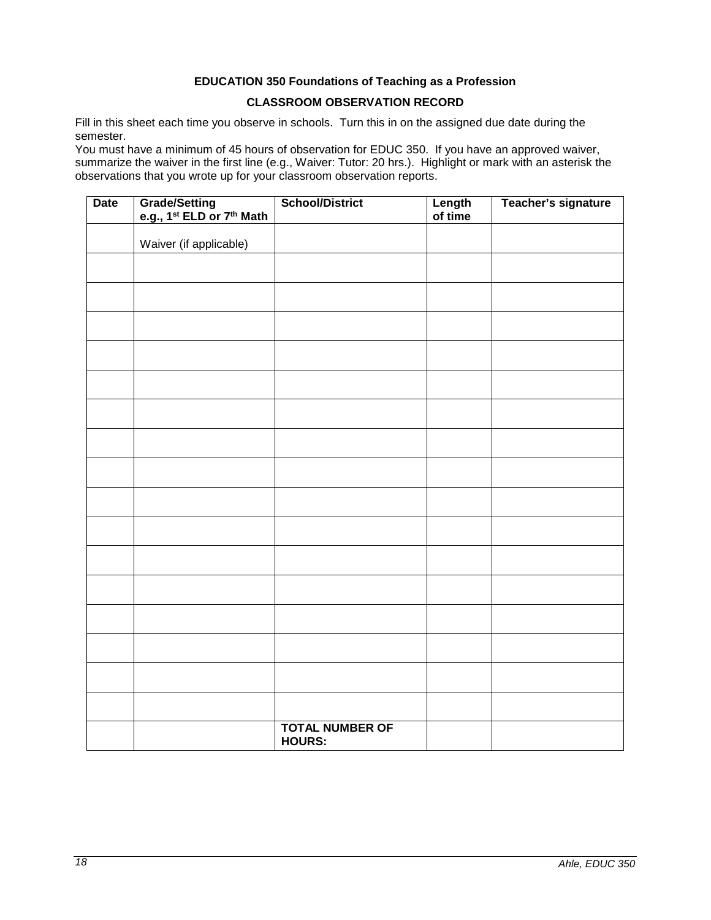# **EDUCATION 350 Foundations of Teaching as a Profession CLASSROOM OBSERVATION RECORD**

<span id="page-17-0"></span>Fill in this sheet each time you observe in schools. Turn this in on the assigned due date during the semester.

You must have a minimum of 45 hours of observation for EDUC 350. If you have an approved waiver, summarize the waiver in the first line (e.g., Waiver: Tutor: 20 hrs.). Highlight or mark with an asterisk the observations that you wrote up for your classroom observation reports.

| <b>Date</b> | Grade/Setting<br>e.g., 1 <sup>st</sup> ELD or 7 <sup>th</sup> Math | <b>School/District</b>                  | Length<br>of time | Teacher's signature |
|-------------|--------------------------------------------------------------------|-----------------------------------------|-------------------|---------------------|
|             | Waiver (if applicable)                                             |                                         |                   |                     |
|             |                                                                    |                                         |                   |                     |
|             |                                                                    |                                         |                   |                     |
|             |                                                                    |                                         |                   |                     |
|             |                                                                    |                                         |                   |                     |
|             |                                                                    |                                         |                   |                     |
|             |                                                                    |                                         |                   |                     |
|             |                                                                    |                                         |                   |                     |
|             |                                                                    |                                         |                   |                     |
|             |                                                                    |                                         |                   |                     |
|             |                                                                    |                                         |                   |                     |
|             |                                                                    |                                         |                   |                     |
|             |                                                                    |                                         |                   |                     |
|             |                                                                    |                                         |                   |                     |
|             |                                                                    |                                         |                   |                     |
|             |                                                                    |                                         |                   |                     |
|             |                                                                    |                                         |                   |                     |
|             |                                                                    |                                         |                   |                     |
|             |                                                                    | <b>TOTAL NUMBER OF</b><br><b>HOURS:</b> |                   |                     |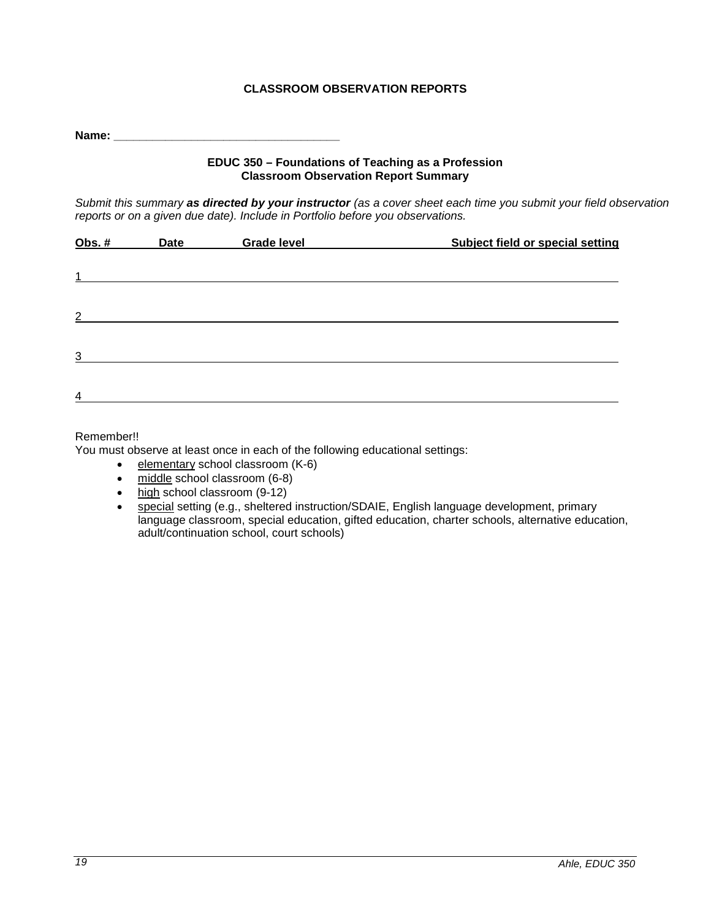# **CLASSROOM OBSERVATION REPORTS**

<span id="page-18-0"></span>**Name:**  $\blacksquare$ 

### **EDUC 350 – Foundations of Teaching as a Profession Classroom Observation Report Summary**

*Submit this summary as directed by your instructor (as a cover sheet each time you submit your field observation reports or on a given due date). Include in Portfolio before you observations.*

| Obs. $#$                | Date | <b>Grade level</b> | Subject field or special setting |  |
|-------------------------|------|--------------------|----------------------------------|--|
|                         |      |                    |                                  |  |
| $\mathbf{1}$            |      |                    |                                  |  |
|                         |      |                    |                                  |  |
| $\overline{2}$          |      |                    |                                  |  |
|                         |      |                    |                                  |  |
| $\overline{3}$          |      |                    |                                  |  |
|                         |      |                    |                                  |  |
| $\overline{\mathbf{4}}$ |      |                    |                                  |  |
|                         |      |                    |                                  |  |

# Remember!!

You must observe at least once in each of the following educational settings:

- elementary school classroom (K-6)
- middle school classroom (6-8)
- high school classroom (9-12)
- special setting (e.g., sheltered instruction/SDAIE, English language development, primary language classroom, special education, gifted education, charter schools, alternative education, adult/continuation school, court schools)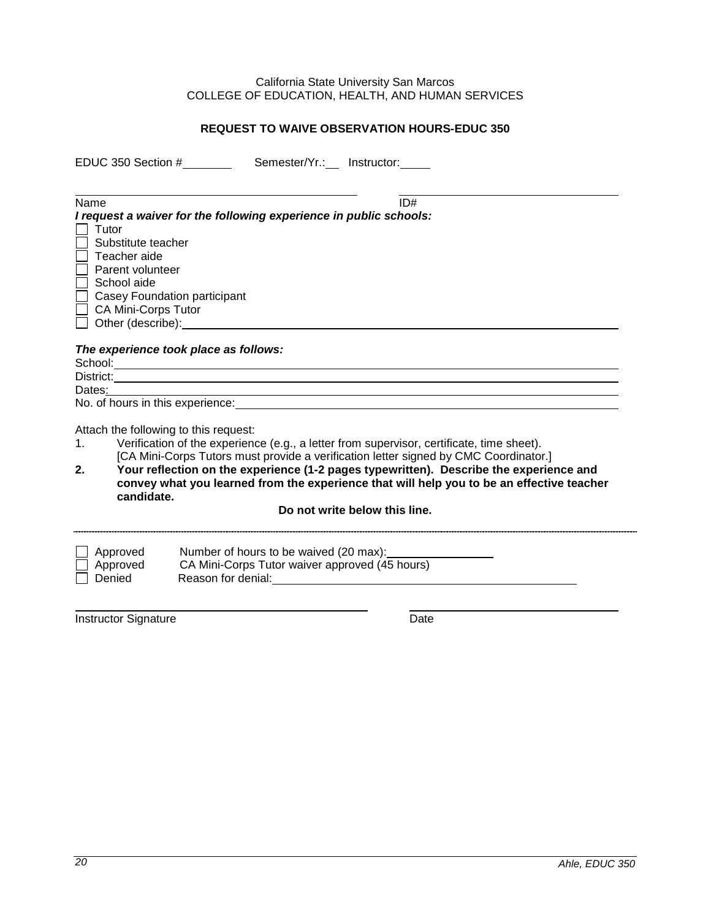#### California State University San Marcos COLLEGE OF EDUCATION, HEALTH, AND HUMAN SERVICES

# **REQUEST TO WAIVE OBSERVATION HOURS-EDUC 350**

<span id="page-19-0"></span>EDUC 350 Section # Semester/Yr.: Instructor:

| Name                                                                                                                                                                                                                           | ID# |  |
|--------------------------------------------------------------------------------------------------------------------------------------------------------------------------------------------------------------------------------|-----|--|
| I request a waiver for the following experience in public schools:                                                                                                                                                             |     |  |
| Tutor                                                                                                                                                                                                                          |     |  |
| Substitute teacher                                                                                                                                                                                                             |     |  |
| Teacher aide                                                                                                                                                                                                                   |     |  |
| Parent volunteer                                                                                                                                                                                                               |     |  |
| School aide                                                                                                                                                                                                                    |     |  |
| Casey Foundation participant                                                                                                                                                                                                   |     |  |
| <b>CA Mini-Corps Tutor</b>                                                                                                                                                                                                     |     |  |
| Other (describe): example of the state of the state of the state of the state of the state of the state of the state of the state of the state of the state of the state of the state of the state of the state of the state o |     |  |
|                                                                                                                                                                                                                                |     |  |
| The experience took place as follows:                                                                                                                                                                                          |     |  |
|                                                                                                                                                                                                                                |     |  |
| District:                                                                                                                                                                                                                      |     |  |
| Dates: the part of the part of the part of the part of the part of the part of the part of the part of the part of the part of the part of the part of the part of the part of the part of the part of the part of the part of |     |  |
| No. of hours in this experience:                                                                                                                                                                                               |     |  |
|                                                                                                                                                                                                                                |     |  |
| Attach the following to this request:                                                                                                                                                                                          |     |  |
| Verification of the experience (e.g., a letter from supervisor, certificate, time sheet).<br>1.                                                                                                                                |     |  |
| [CA Mini-Corps Tutors must provide a verification letter signed by CMC Coordinator.]                                                                                                                                           |     |  |
| Your reflection on the experience (1-2 pages typewritten). Describe the experience and<br>2.                                                                                                                                   |     |  |
| convey what you learned from the experience that will help you to be an effective teacher                                                                                                                                      |     |  |
| candidate.                                                                                                                                                                                                                     |     |  |
| Do not write below this line.                                                                                                                                                                                                  |     |  |
|                                                                                                                                                                                                                                |     |  |

| $\Box$ Approved | Number of hours to be waived (20 max):         |  |
|-----------------|------------------------------------------------|--|
| $\Box$ Approved | CA Mini-Corps Tutor waiver approved (45 hours) |  |
| Denied          | Reason for denial:                             |  |

Instructor Signature Date